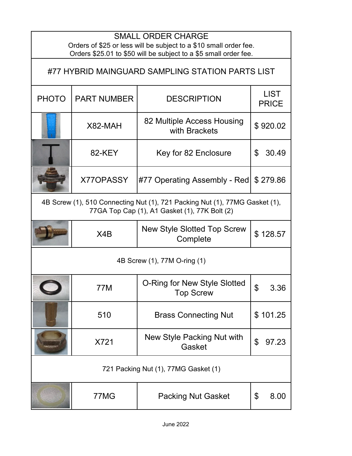| <b>SMALL ORDER CHARGE</b><br>Orders of \$25 or less will be subject to a \$10 small order fee.<br>Orders \$25.01 to \$50 will be subject to a \$5 small order fee. |                    |                                                  |                             |  |  |
|--------------------------------------------------------------------------------------------------------------------------------------------------------------------|--------------------|--------------------------------------------------|-----------------------------|--|--|
| #77 HYBRID MAINGUARD SAMPLING STATION PARTS LIST                                                                                                                   |                    |                                                  |                             |  |  |
| <b>PHOTO</b>                                                                                                                                                       | <b>PART NUMBER</b> | <b>DESCRIPTION</b>                               | <b>LIST</b><br><b>PRICE</b> |  |  |
|                                                                                                                                                                    | X82-MAH            | 82 Multiple Access Housing<br>with Brackets      | \$920.02                    |  |  |
|                                                                                                                                                                    | 82-KEY             | Key for 82 Enclosure                             | \$<br>30.49                 |  |  |
|                                                                                                                                                                    | X770PASSY          | #77 Operating Assembly - Red                     | \$279.86                    |  |  |
| 4B Screw (1), 510 Connecting Nut (1), 721 Packing Nut (1), 77MG Gasket (1),<br>77GA Top Cap (1), A1 Gasket (1), 77K Bolt (2)                                       |                    |                                                  |                             |  |  |
|                                                                                                                                                                    | X4B                | <b>New Style Slotted Top Screw</b><br>Complete   | \$128.57                    |  |  |
| 4B Screw (1), 77M O-ring (1)                                                                                                                                       |                    |                                                  |                             |  |  |
|                                                                                                                                                                    | 77M                | O-Ring for New Style Slotted<br><b>Top Screw</b> | \$<br>3.36                  |  |  |
|                                                                                                                                                                    | 510                | <b>Brass Connecting Nut</b>                      | \$101.25                    |  |  |
|                                                                                                                                                                    | X721               | New Style Packing Nut with<br>Gasket             | \$<br>97.23                 |  |  |
| 721 Packing Nut (1), 77MG Gasket (1)                                                                                                                               |                    |                                                  |                             |  |  |
|                                                                                                                                                                    | 77MG               | <b>Packing Nut Gasket</b>                        | \$<br>8.00                  |  |  |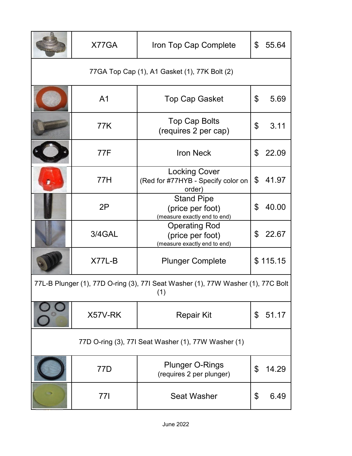|                                                                                         | X77GA          | Iron Top Cap Complete                                                    | \$             | 55.64    |  |
|-----------------------------------------------------------------------------------------|----------------|--------------------------------------------------------------------------|----------------|----------|--|
| 77GA Top Cap (1), A1 Gasket (1), 77K Bolt (2)                                           |                |                                                                          |                |          |  |
|                                                                                         | A <sub>1</sub> | <b>Top Cap Gasket</b>                                                    | \$             | 5.69     |  |
|                                                                                         | 77K            | <b>Top Cap Bolts</b><br>(requires 2 per cap)                             | \$             | 3.11     |  |
|                                                                                         | 77F            | <b>Iron Neck</b>                                                         | \$             | 22.09    |  |
|                                                                                         | 77H            | <b>Locking Cover</b><br>(Red for #77HYB - Specify color on<br>order)     | $\mathfrak{L}$ | 41.97    |  |
|                                                                                         | 2P             | <b>Stand Pipe</b><br>(price per foot)<br>(measure exactly end to end)    | \$             | 40.00    |  |
|                                                                                         | 3/4GAL         | <b>Operating Rod</b><br>(price per foot)<br>(measure exactly end to end) | \$             | 22.67    |  |
|                                                                                         | $X77L-B$       | <b>Plunger Complete</b>                                                  |                | \$115.15 |  |
| 77L-B Plunger (1), 77D O-ring (3), 77I Seat Washer (1), 77W Washer (1), 77C Bolt<br>(1) |                |                                                                          |                |          |  |
|                                                                                         | X57V-RK        | <b>Repair Kit</b>                                                        | \$             | 51.17    |  |
| 77D O-ring (3), 77I Seat Washer (1), 77W Washer (1)                                     |                |                                                                          |                |          |  |
|                                                                                         | 77D            | <b>Plunger O-Rings</b><br>(requires 2 per plunger)                       | \$             | 14.29    |  |
|                                                                                         | 77I            | <b>Seat Washer</b>                                                       | \$             | 6.49     |  |